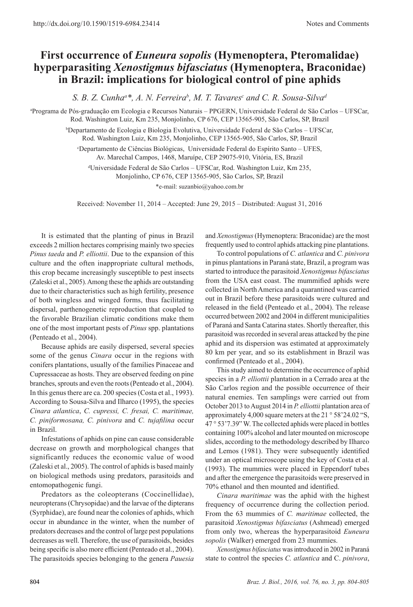## **First occurrence of** *Euneura sopolis* **(Hymenoptera, Pteromalidae) hyperparasiting** *Xenostigmus bifasciatus* **(Hymenoptera, Braconidae) in Brazil: implications for biological control of pine aphids**

*S. B. Z. Cunha<sup>a\*</sup>, A. N. Ferreira<sup>b</sup>, M. T. Tavares<sup>c</sup> and C. R. Sousa-Silva<sup>a</sup>* 

a Programa de Pós-graduação em Ecologia e Recursos Naturais – PPGERN, Universidade Federal de São Carlos – UFSCar, Rod. Washington Luiz, Km 235, Monjolinho, CP 676, CEP 13565-905, São Carlos, SP, Brazil

> b Departamento de Ecologia e Biologia Evolutiva, Universidade Federal de São Carlos – UFSCar, Rod. Washington Luiz, Km 235, Monjolinho, CEP 13565-905, São Carlos, SP, Brazil

c Departamento de Ciências Biológicas, Universidade Federal do Espírito Santo – UFES, Av. Marechal Campos, 1468, Maruípe, CEP 29075-910, Vitória, ES, Brazil

d Universidade Federal de São Carlos – UFSCar, Rod. Washington Luiz, Km 235,

Monjolinho, CP 676, CEP 13565-905, São Carlos, SP, Brazil

\*e-mail: suzanbio@yahoo.com.br

Received: November 11, 2014 – Accepted: June 29, 2015 – Distributed: August 31, 2016

It is estimated that the planting of pinus in Brazil exceeds 2 million hectares comprising mainly two species *Pinus taeda* and *P. elliottii*. Due to the expansion of this culture and the often inappropriate cultural methods, this crop became increasingly susceptible to pest insects (Zaleski et al., 2005). Among these the aphids are outstanding due to their characteristics such as high fertility, presence of both wingless and winged forms, thus facilitating dispersal, parthenogenetic reproduction that coupled to the favorable Brazilian climatic conditions make them one of the most important pests of *Pinus* spp. plantations (Penteado et al., 2004).

Because aphids are easily dispersed, several species some of the genus *Cinara* occur in the regions with conifers plantations, usually of the families Pinaceae and Cupressaceae as hosts. They are observed feeding on pine branches, sprouts and even the roots (Penteado et al., 2004). In this genus there are ca. 200 species (Costa et al., 1993). According to Sousa-Silva and Ilharco (1995), the species *Cinara atlantica*, *C. cupressi, C. fresai, C. maritimae, C. piniformosana, C. pinivora* and *C. tujafilina* occur in Brazil.

Infestations of aphids on pine can cause considerable decrease on growth and morphological changes that significantly reduces the economic value of wood (Zaleski et al., 2005). The control of aphids is based mainly on biological methods using predators, parasitoids and entomopathogenic fungi.

Predators as the coleopterans (Coccinellidae), neuropterans (Chrysopidae) and the larvae of the dipterans (Syrphidae), are found near the colonies of aphids, which occur in abundance in the winter, when the number of predators decreases and the control of large pest populations decreases as well. Therefore, the use of parasitoids, besides being specific is also more efficient (Penteado et al., 2004). The parasitoids species belonging to the genera *Pauesia*

and *Xenostigmus* (Hymenoptera: Braconidae) are the most frequently used to control aphids attacking pine plantations.

To control populations of *C. atlantica* and *C. pinivora* in pinus plantations in Paraná state, Brazil, a program was started to introduce the parasitoid *Xenostigmus bifasciatus* from the USA east coast. The mummified aphids were collected in North America and a quarantined was carried out in Brazil before these parasitoids were cultured and released in the field (Penteado et al., 2004). The release occurred between 2002 and 2004 in different municipalities of Paraná and Santa Catarina states. Shortly thereafter, this parasitoid was recorded in several areas attacked by the pine aphid and its dispersion was estimated at approximately 80 km per year, and so its establishment in Brazil was confirmed (Penteado et al., 2004).

This study aimed to determine the occurrence of aphid species in a *P. elliottii* plantation in a Cerrado area at the São Carlos region and the possible occurrence of their natural enemies. Ten samplings were carried out from October 2013 to August 2014 in *P. elliottii* plantation area of approximately 4,000 square meters at the 21 ° 58'24.02 "S, 47 ° 53'7.39" W. The collected aphids were placed in bottles containing 100% alcohol and later mounted on microscope slides, according to the methodology described by Ilharco and Lemos (1981). They were subsequently identified under an optical microscope using the key of Costa et al. (1993). The mummies were placed in Eppendorf tubes and after the emergence the parasitoids were preserved in 70% ethanol and then mounted and identified.

*Cinara maritimae* was the aphid with the highest frequency of occurrence during the collection period. From the 63 mummies of *C. maritimae* collected, the parasitoid *Xenostigmus bifasciatus* (Ashmead) emerged from only two, whereas the hyperparasitoid *Euneura sopolis* (Walker) emerged from 23 mummies.

*Xenostigmus bifasciatus* was introduced in 2002 in Paraná state to control the species *C. atlantica* and C. *pinivora*,